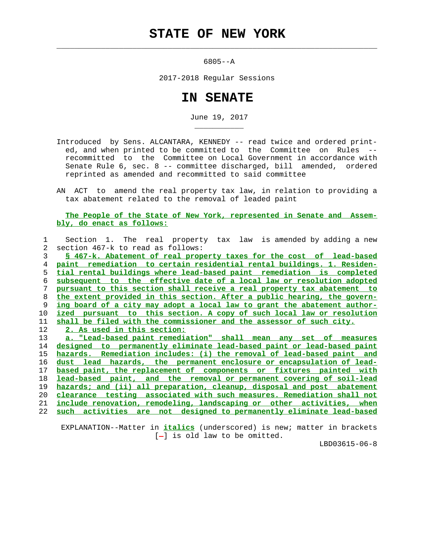## **STATE OF NEW YORK**

 $\mathcal{L}_\text{max} = \frac{1}{2} \sum_{i=1}^{n} \frac{1}{2} \sum_{i=1}^{n} \frac{1}{2} \sum_{i=1}^{n} \frac{1}{2} \sum_{i=1}^{n} \frac{1}{2} \sum_{i=1}^{n} \frac{1}{2} \sum_{i=1}^{n} \frac{1}{2} \sum_{i=1}^{n} \frac{1}{2} \sum_{i=1}^{n} \frac{1}{2} \sum_{i=1}^{n} \frac{1}{2} \sum_{i=1}^{n} \frac{1}{2} \sum_{i=1}^{n} \frac{1}{2} \sum_{i=1}^{n} \frac{1$ 

\_\_\_\_\_\_\_\_\_\_\_

6805--A

2017-2018 Regular Sessions

## **IN SENATE**

June 19, 2017

- Introduced by Sens. ALCANTARA, KENNEDY -- read twice and ordered print ed, and when printed to be committed to the Committee on Rules - recommitted to the Committee on Local Government in accordance with Senate Rule 6, sec. 8 -- committee discharged, bill amended, ordered reprinted as amended and recommitted to said committee
- AN ACT to amend the real property tax law, in relation to providing a tax abatement related to the removal of leaded paint

## **The People of the State of New York, represented in Senate and Assem bly, do enact as follows:**

| 1  | Section 1. The real property tax law is amended by adding a new            |
|----|----------------------------------------------------------------------------|
| 2  | section 467-k to read as follows:                                          |
| 3  | § 467-k. Abatement of real property taxes for the cost of lead-based       |
| 4  | paint remediation to certain residential rental buildings. 1. Residen-     |
| 5  | tial rental buildings where lead-based paint remediation is completed      |
| 6  | subsequent to the effective date of a local law or resolution adopted      |
| 7  | pursuant to this section shall receive a real property tax abatement to    |
| 8  | the extent provided in this section. After a public hearing, the govern-   |
| 9  | ing board of a city may adopt a local law to grant the abatement author-   |
| 10 | pursuant to this section. A copy of such local law or resolution<br>ized   |
| 11 | shall be filed with the commissioner and the assessor of such city.        |
| 12 | 2. As used in this section:                                                |
| 13 | a. "Lead-based paint remediation" shall mean any set of measures           |
| 14 | to permanently eliminate lead-based paint or lead-based paint<br>designed  |
| 15 | Remediation includes: (i) the removal of lead-based paint and<br>hazards.  |
| 16 | hazards, the permanent enclosure or encapsulation of lead-<br>dust lead    |
| 17 | based paint, the replacement of components or fixtures painted with        |
| 18 | and the removal or permanent covering of soil-lead<br>lead-based<br>paint, |
| 19 | hazards; and (ii) all preparation, cleanup, disposal and post abatement    |
| 20 | testing associated with such measures. Remediation shall not<br>clearance  |
| 21 | include renovation, remodeling, landscaping or other activities, when      |
| 22 | activities are<br>not designed to permanently eliminate lead-based<br>such |
|    |                                                                            |

 EXPLANATION--Matter in **italics** (underscored) is new; matter in brackets  $[-]$  is old law to be omitted.

LBD03615-06-8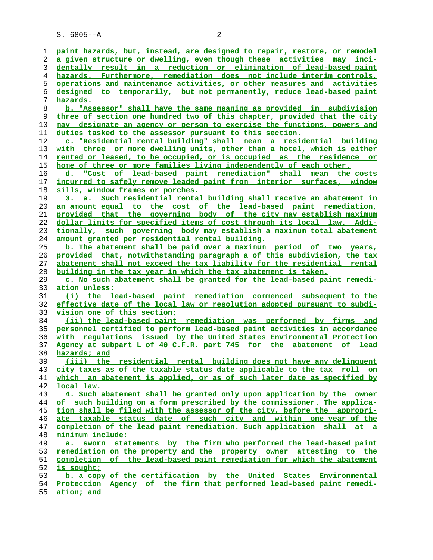S. 6805--A 2

**paint hazards, but, instead, are designed to repair, restore, or remodel a given structure or dwelling, even though these activities may inci- dentally result in a reduction or elimination of lead-based paint hazards. Furthermore, remediation does not include interim controls, operations and maintenance activities, or other measures and activities designed to temporarily, but not permanently, reduce lead-based paint hazards. b. "Assessor" shall have the same meaning as provided in subdivision three of section one hundred two of this chapter, provided that the city may designate an agency or person to exercise the functions, powers and duties tasked to the assessor pursuant to this section. c. "Residential rental building" shall mean a residential building with three or more dwelling units, other than a hotel, which is either rented or leased, to be occupied, or is occupied as the residence or home of three or more families living independently of each other. d. "Cost of lead-based paint remediation" shall mean the costs incurred to safely remove leaded paint from interior surfaces, window sills, window frames or porches. 3. a. Such residential rental building shall receive an abatement in an amount equal to the cost of the lead-based paint remediation, provided that the governing body of the city may establish maximum dollar limits for specified items of cost through its local law. Addi- tionally, such governing body may establish a maximum total abatement amount granted per residential rental building. b. The abatement shall be paid over a maximum period of two years, provided that, notwithstanding paragraph a of this subdivision, the tax abatement shall not exceed the tax liability for the residential rental building in the tax year in which the tax abatement is taken. c. No such abatement shall be granted for the lead-based paint remedi- ation unless: (i) the lead-based paint remediation commenced subsequent to the effective date of the local law or resolution adopted pursuant to subdi- vision one of this section; (ii) the lead-based paint remediation was performed by firms and personnel certified to perform lead-based paint activities in accordance with regulations issued by the United States Environmental Protection Agency at subpart L of 40 C.F.R. part 745 for the abatement of lead hazards; and (iii) the residential rental building does not have any delinquent city taxes as of the taxable status date applicable to the tax roll on which an abatement is applied, or as of such later date as specified by local law. 4. Such abatement shall be granted only upon application by the owner of such building on a form prescribed by the commissioner. The applica- tion shall be filed with the assessor of the city, before the appropri- ate taxable status date of such city and within one year of the completion of the lead paint remediation. Such application shall at a minimum include:**

| 49. |               |  |  | a. sworn statements by the firm who performed the lead-based paint        |  |  |
|-----|---------------|--|--|---------------------------------------------------------------------------|--|--|
|     |               |  |  | 50 remediation on the property and the property owner attesting to the    |  |  |
|     |               |  |  | 51 completion of the lead-based paint remediation for which the abatement |  |  |
|     | 52 is sought; |  |  |                                                                           |  |  |
|     |               |  |  |                                                                           |  |  |

**b. a copy of the certification by the United States Environmental**

- **Protection Agency of the firm that performed lead-based paint remedi-**
- **ation; and**